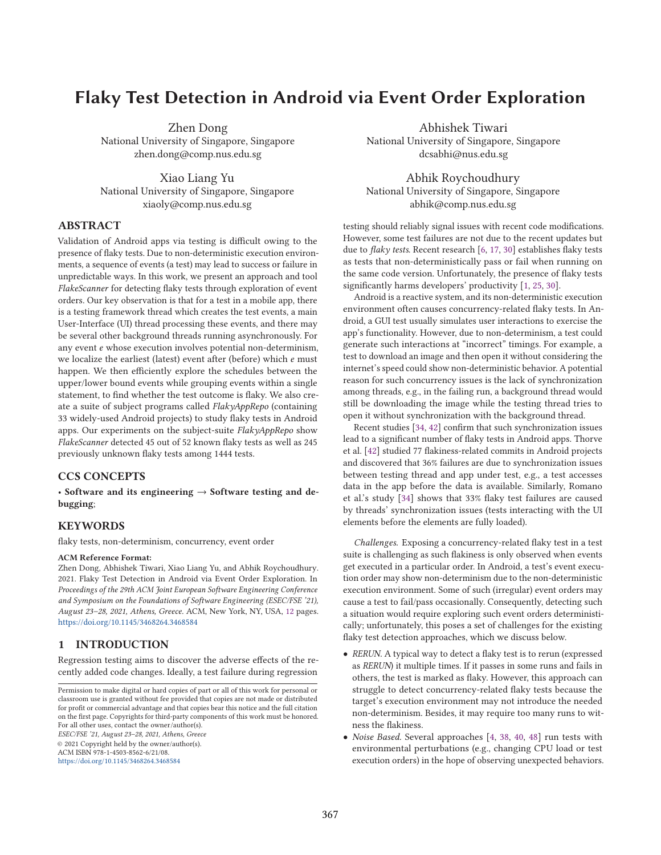# **Flaky Test Detection in Android via Event Order Exploration**

Zhen Dong National University of Singapore, Singapore zhen.dong@comp.nus.edu.sg

Xiao Liang Yu National University of Singapore, Singapore xiaoly@comp.nus.edu.sg

### **ABSTRACT**

Validation of Android apps via testing is difficult owing to the presence of flaky tests. Due to non-deterministic execution environments, a sequence of events (a test) may lead to success or failure in unpredictable ways. In this work, we present an approach and tool *FlakeScanner* for detecting flaky tests through exploration of event orders. Our key observation is that for a test in a mobile app, there is a testing framework thread which creates the test events, a main User-Interface (UI) thread processing these events, and there may be several other background threads running asynchronously. For any event  $e$  whose execution involves potential non-determinism, we localize the earliest (latest) event after (before) which  $e$  must happen. We then efficiently explore the schedules between the upper/lower bound events while grouping events within a single statement, to find whether the test outcome is flaky. We also create a suite of subject programs called *FlakyAppRepo* (containing 33 widely-used Android projects) to study flaky tests in Android apps. Our experiments on the subject-suite *FlakyAppRepo* show *FlakeScanner* detected 45 out of 52 known flaky tests as well as 245 previously unknown flaky tests among 1444 tests.

## **CCS CONCEPTS**

• **Software and its engineering** → **Software testing and debugging**;

### **KEYWORDS**

flaky tests, non-determinism, concurrency, event order

#### **ACM Reference Format:**

Zhen Dong, Abhishek Tiwari, Xiao Liang Yu, and Abhik Roychoudhury. 2021. Flaky Test Detection in Android via Event Order Exploration. In *Proceedings of the 29th ACM Joint European Software Engineering Conference and Symposium on the Foundations of Software Engineering (ESEC/FSE '21), August 23–28, 2021, Athens, Greece.* ACM, New York, NY, USA, 12 pages. https://doi.org/10.1145/3468264.3468584

### **1 INTRODUCTION**

Regression testing aims to discover the adverse effects of the recently added code changes. Ideally, a test failure during regression

*ESEC/FSE '21, August 23–28, 2021, Athens, Greece*

© 2021 Copyright held by the owner/author(s).

ACM ISBN 978-1-4503-8562-6/21/08. https://doi.org/10.1145/3468264.3468584

Abhishek Tiwari National University of Singapore, Singapore dcsabhi@nus.edu.sg

Abhik Roychoudhury National University of Singapore, Singapore abhik@comp.nus.edu.sg

testing should reliably signal issues with recent code modifications. However, some test failures are not due to the recent updates but due to *flaky tests*. Recent research [6, 17, 30] establishes flaky tests as tests that non-deterministically pass or fail when running on the same code version. Unfortunately, the presence of flaky tests significantly harms developers' productivity [1, 25, 30].

Android is a reactive system, and its non-deterministic execution environment often causes concurrency-related flaky tests. In Android, a GUI test usually simulates user interactions to exercise the app's functionality. However, due to non-determinism, a test could generate such interactions at "incorrect" timings. For example, a test to download an image and then open it without considering the internet's speed could show non-deterministic behavior. A potential reason for such concurrency issues is the lack of synchronization among threads, e.g., in the failing run, a background thread would still be downloading the image while the testing thread tries to open it without synchronization with the background thread.

Recent studies [34, 42] confirm that such synchronization issues lead to a significant number of flaky tests in Android apps. Thorve et al. [42] studied 77 flakiness-related commits in Android projects and discovered that 36% failures are due to synchronization issues between testing thread and app under test, e.g., a test accesses data in the app before the data is available. Similarly, Romano et al.'s study [34] shows that 33% flaky test failures are caused by threads' synchronization issues (tests interacting with the UI elements before the elements are fully loaded).

*Challenges.* Exposing a concurrency-related flaky test in a test suite is challenging as such flakiness is only observed when events get executed in a particular order. In Android, a test's event execution order may show non-determinism due to the non-deterministic execution environment. Some of such (irregular) event orders may cause a test to fail/pass occasionally. Consequently, detecting such a situation would require exploring such event orders deterministically; unfortunately, this poses a set of challenges for the existing flaky test detection approaches, which we discuss below.

- *RERUN.* A typical way to detect a flaky test is to rerun (expressed as *RERUN*) it multiple times. If it passes in some runs and fails in others, the test is marked as flaky. However, this approach can struggle to detect concurrency-related flaky tests because the target's execution environment may not introduce the needed non-determinism. Besides, it may require too many runs to witness the flakiness.
- *Noise Based.* Several approaches [4, 38, 40, 48] run tests with environmental perturbations (e.g., changing CPU load or test execution orders) in the hope of observing unexpected behaviors.

Permission to make digital or hard copies of part or all of this work for personal or classroom use is granted without fee provided that copies are not made or distributed for profit or commercial advantage and that copies bear this notice and the full citation on the first page. Copyrights for third-party components of this work must be honored. For all other uses, contact the owner/author(s).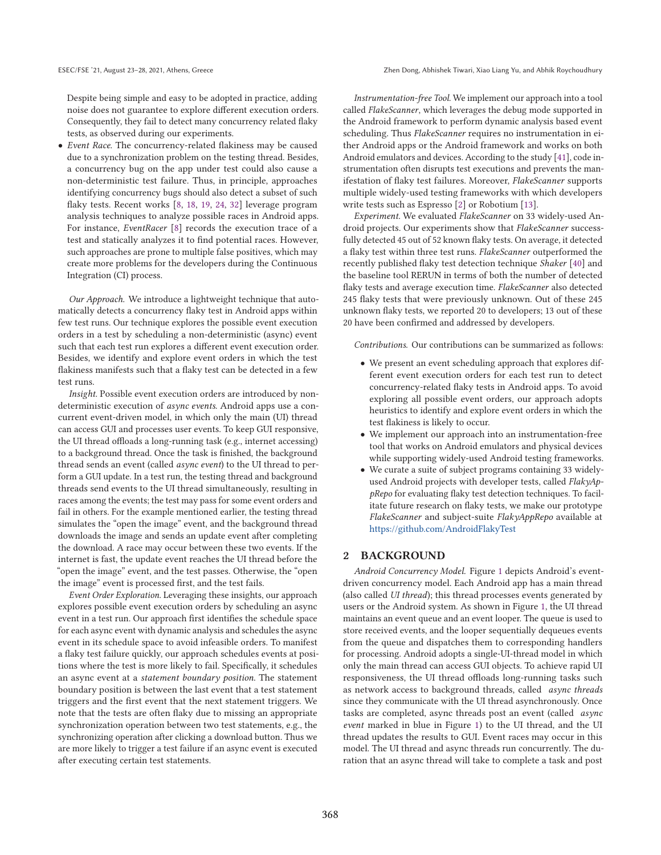Despite being simple and easy to be adopted in practice, adding noise does not guarantee to explore different execution orders. Consequently, they fail to detect many concurrency related flaky tests, as observed during our experiments.

• *Event Race.* The concurrency-related flakiness may be caused due to a synchronization problem on the testing thread. Besides, a concurrency bug on the app under test could also cause a non-deterministic test failure. Thus, in principle, approaches identifying concurrency bugs should also detect a subset of such flaky tests. Recent works [8, 18, 19, 24, 32] leverage program analysis techniques to analyze possible races in Android apps. For instance, *EventRacer* [8] records the execution trace of a test and statically analyzes it to find potential races. However, such approaches are prone to multiple false positives, which may create more problems for the developers during the Continuous Integration (CI) process.

*Our Approach.* We introduce a lightweight technique that automatically detects a concurrency flaky test in Android apps within few test runs. Our technique explores the possible event execution orders in a test by scheduling a non-deterministic (async) event such that each test run explores a different event execution order. Besides, we identify and explore event orders in which the test flakiness manifests such that a flaky test can be detected in a few test runs.

*Insight.* Possible event execution orders are introduced by nondeterministic execution of *async events*. Android apps use a concurrent event-driven model, in which only the main (UI) thread can access GUI and processes user events. To keep GUI responsive, the UI thread offloads a long-running task (e.g., internet accessing) to a background thread. Once the task is finished, the background thread sends an event (called *async event*) to the UI thread to perform a GUI update. In a test run, the testing thread and background threads send events to the UI thread simultaneously, resulting in races among the events; the test may pass for some event orders and fail in others. For the example mentioned earlier, the testing thread simulates the "open the image" event, and the background thread downloads the image and sends an update event after completing the download. A race may occur between these two events. If the internet is fast, the update event reaches the UI thread before the "open the image" event, and the test passes. Otherwise, the "open the image" event is processed first, and the test fails.

*Event Order Exploration.* Leveraging these insights, our approach explores possible event execution orders by scheduling an async event in a test run. Our approach first identifies the schedule space for each async event with dynamic analysis and schedules the async event in its schedule space to avoid infeasible orders. To manifest a flaky test failure quickly, our approach schedules events at positions where the test is more likely to fail. Specifically, it schedules an async event at a *statement boundary position*. The statement boundary position is between the last event that a test statement triggers and the first event that the next statement triggers. We note that the tests are often flaky due to missing an appropriate synchronization operation between two test statements, e.g., the synchronizing operation after clicking a download button. Thus we are more likely to trigger a test failure if an async event is executed after executing certain test statements.

*Instrumentation-free Tool.* We implement our approach into a tool called *FlakeScanner*, which leverages the debug mode supported in the Android framework to perform dynamic analysis based event scheduling. Thus *FlakeScanner* requires no instrumentation in either Android apps or the Android framework and works on both Android emulators and devices. According to the study [41], code instrumentation often disrupts test executions and prevents the manifestation of flaky test failures. Moreover, *FlakeScanner* supports multiple widely-used testing frameworks with which developers write tests such as Espresso [2] or Robotium [13].

*Experiment.* We evaluated *FlakeScanner* on 33 widely-used Android projects. Our experiments show that *FlakeScanner* successfully detected 45 out of 52 known flaky tests. On average, it detected a flaky test within three test runs. *FlakeScanner* outperformed the recently published flaky test detection technique *Shaker* [40] and the baseline tool RERUN in terms of both the number of detected flaky tests and average execution time. *FlakeScanner* also detected 245 flaky tests that were previously unknown. Out of these 245 unknown flaky tests, we reported 20 to developers; 13 out of these 20 have been confirmed and addressed by developers.

*Contributions.* Our contributions can be summarized as follows:

- We present an event scheduling approach that explores different event execution orders for each test run to detect concurrency-related flaky tests in Android apps. To avoid exploring all possible event orders, our approach adopts heuristics to identify and explore event orders in which the test flakiness is likely to occur.
- We implement our approach into an instrumentation-free tool that works on Android emulators and physical devices while supporting widely-used Android testing frameworks.
- We curate a suite of subject programs containing 33 widelyused Android projects with developer tests, called *FlakyAppRepo* for evaluating flaky test detection techniques. To facilitate future research on flaky tests, we make our prototype *FlakeScanner* and subject-suite *FlakyAppRepo* available at https://github.com/AndroidFlakyTest

#### **2 BACKGROUND**

*Android Concurrency Model.* Figure 1 depicts Android's eventdriven concurrency model. Each Android app has a main thread (also called *UI thread*); this thread processes events generated by users or the Android system. As shown in Figure 1, the UI thread maintains an event queue and an event looper. The queue is used to store received events, and the looper sequentially dequeues events from the queue and dispatches them to corresponding handlers for processing. Android adopts a single-UI-thread model in which only the main thread can access GUI objects. To achieve rapid UI responsiveness, the UI thread offloads long-running tasks such as network access to background threads, called *async threads* since they communicate with the UI thread asynchronously. Once tasks are completed, async threads post an event (called *async event* marked in blue in Figure 1) to the UI thread, and the UI thread updates the results to GUI. Event races may occur in this model. The UI thread and async threads run concurrently. The duration that an async thread will take to complete a task and post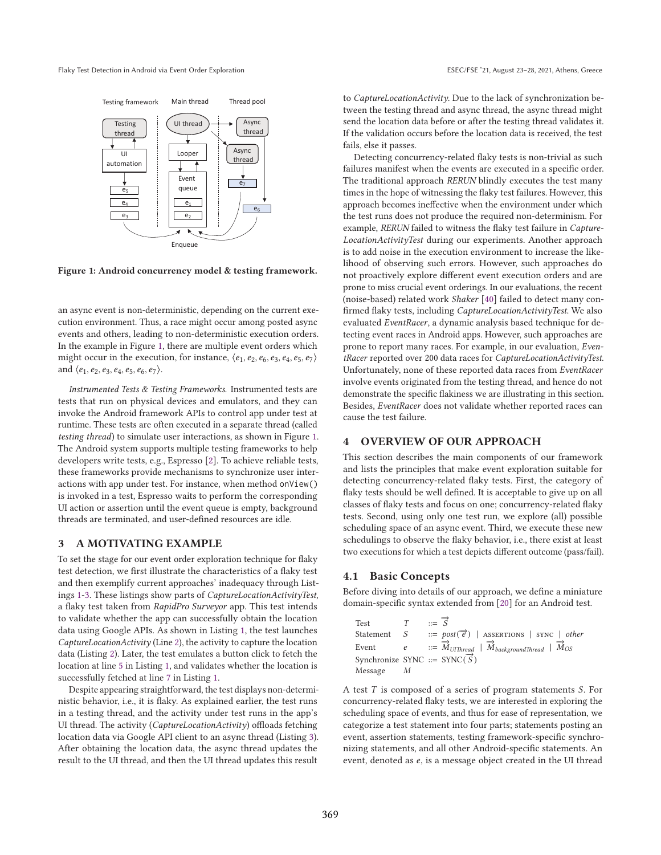

**Figure 1: Android concurrency model & testing framework.**

an async event is non-deterministic, depending on the current execution environment. Thus, a race might occur among posted async events and others, leading to non-deterministic execution orders. In the example in Figure 1, there are multiple event orders which might occur in the execution, for instance,  $\langle e_1, e_2, e_6, e_3, e_4, e_5, e_7 \rangle$ and  $\langle e_1, e_2, e_3, e_4, e_5, e_6, e_7 \rangle$ .

*Instrumented Tests & Testing Frameworks.* Instrumented tests are tests that run on physical devices and emulators, and they can invoke the Android framework APIs to control app under test at runtime. These tests are often executed in a separate thread (called *testing thread*) to simulate user interactions, as shown in Figure 1. The Android system supports multiple testing frameworks to help developers write tests, e.g., Espresso [2]. To achieve reliable tests, these frameworks provide mechanisms to synchronize user interactions with app under test. For instance, when method onView() is invoked in a test, Espresso waits to perform the corresponding UI action or assertion until the event queue is empty, background threads are terminated, and user-defined resources are idle.

#### **3 A MOTIVATING EXAMPLE**

To set the stage for our event order exploration technique for flaky test detection, we first illustrate the characteristics of a flaky test and then exemplify current approaches' inadequacy through Listings 1-3. These listings show parts of *CaptureLocationActivityTest*, a flaky test taken from *RapidPro Surveyor* app. This test intends to validate whether the app can successfully obtain the location data using Google APIs. As shown in Listing 1, the test launches *CaptureLocationActivity* (Line 2), the activity to capture the location data (Listing 2). Later, the test emulates a button click to fetch the location at line 5 in Listing 1, and validates whether the location is successfully fetched at line 7 in Listing 1.

Despite appearing straightforward, the test displays non-deterministic behavior, i.e., it is flaky. As explained earlier, the test runs in a testing thread, and the activity under test runs in the app's UI thread. The activity (*CaptureLocationActivity*) offloads fetching location data via Google API client to an async thread (Listing 3). After obtaining the location data, the async thread updates the result to the UI thread, and then the UI thread updates this result

to *CaptureLocationActivity*. Due to the lack of synchronization between the testing thread and async thread, the async thread might send the location data before or after the testing thread validates it. If the validation occurs before the location data is received, the test fails, else it passes.

Detecting concurrency-related flaky tests is non-trivial as such failures manifest when the events are executed in a specific order. The traditional approach *RERUN* blindly executes the test many times in the hope of witnessing the flaky test failures. However, this approach becomes ineffective when the environment under which the test runs does not produce the required non-determinism. For example, *RERUN* failed to witness the flaky test failure in *Capture-LocationActivityTest* during our experiments. Another approach is to add noise in the execution environment to increase the likelihood of observing such errors. However, such approaches do not proactively explore different event execution orders and are prone to miss crucial event orderings. In our evaluations, the recent (noise-based) related work *Shaker* [40] failed to detect many confirmed flaky tests, including *CaptureLocationActivityTest*. We also evaluated *EventRacer*, a dynamic analysis based technique for detecting event races in Android apps. However, such approaches are prone to report many races. For example, in our evaluation, *EventRacer* reported over 200 data races for *CaptureLocationActivityTest*. Unfortunately, none of these reported data races from *EventRacer* involve events originated from the testing thread, and hence do not demonstrate the specific flakiness we are illustrating in this section. Besides, *EventRacer* does not validate whether reported races can cause the test failure.

### **4 OVERVIEW OF OUR APPROACH**

This section describes the main components of our framework and lists the principles that make event exploration suitable for detecting concurrency-related flaky tests. First, the category of flaky tests should be well defined. It is acceptable to give up on all classes of flaky tests and focus on one; concurrency-related flaky tests. Second, using only one test run, we explore (all) possible scheduling space of an async event. Third, we execute these new schedulings to observe the flaky behavior, i.e., there exist at least two executions for which a test depicts different outcome (pass/fail).

#### **4.1 Basic Concepts**

Before diving into details of our approach, we define a miniature domain-specific syntax extended from [20] for an Android test.

| Test                                              | $v = \overrightarrow{S}$ |                                                                                    |
|---------------------------------------------------|--------------------------|------------------------------------------------------------------------------------|
|                                                   |                          | Statement $S$ ::= $post(\vec{e})$   ASSERTIONS   SYNC   other                      |
|                                                   |                          | Event $e$ ::= $\vec{M}_{UIThread}$   $\vec{M}_{backgroundThread}$   $\vec{M}_{OS}$ |
| Synchronize SYNC ::= SYNC( $\overrightarrow{S}$ ) |                          |                                                                                    |
| Message                                           |                          |                                                                                    |

A test  $T$  is composed of a series of program statements  $S$ . For concurrency-related flaky tests, we are interested in exploring the scheduling space of events, and thus for ease of representation, we categorize a test statement into four parts; statements posting an event, assertion statements, testing framework-specific synchronizing statements, and all other Android-specific statements. An event, denoted as  $e$ , is a message object created in the UI thread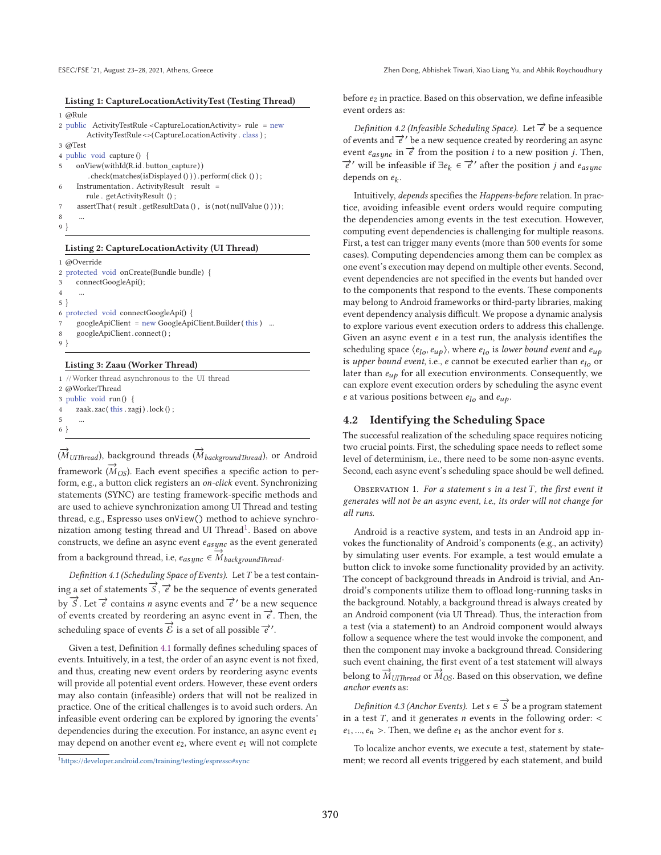#### **Listing 1: CaptureLocationActivityTest (Testing Thread)**

```
1 @Rule
```

```
2 public ActivityTestRule <CaptureLocationActivity> rule = new
        ActivityTestRule <>(CaptureLocationActivity . class ) ;
3 @Test
4 public void capture () {
5 onView(withId(R.id . button_capture))
         . check(matches(isDisplayed () ) ) . perform( click () ) ;
```
Instrumentation . ActivityResult result = rule . getActivityResult () ;

- $\text{assertThat} \left(\text{ result}\text{ . } \text{getResultData}\left() \text{ , } \text{ is } (\text{not}(\text{ nullValue}\left() \text{ ))}\right)\right);$
- 8 ...

### 9 }

#### **Listing 2: CaptureLocationActivity (UI Thread)**

```
1 @Override
2 protected void onCreate(Bundle bundle) {
3 connectGoogleApi();
4 ...
5 }
6 protected void connectGoogleApi() {
     7 googleApiClient = new GoogleApiClient.Builder( this ) ...
     googleApiClient.connect();
9 }
```
#### **Listing 3: Zaau (Worker Thread)**

```
1 //Worker thread asynchronous to the UI thread
2 @WorkerThread
3 public void run() {
4 zaak. zac( this . zagj ) . lock () ;
5 ...
6 }
```
(*M*<sub>UIThread</sub>), background threads (*M*<sub>backgroundThread</sub>), or Android *Framework* ( $\vec{M}_{OS}$ ). Each event specifies a specific action to perform, e.g., a button click registers an *on-click* event. Synchronizing statements (SYNC) are testing framework-specific methods and are used to achieve synchronization among UI Thread and testing thread, e.g., Espresso uses onView() method to achieve synchronization among testing thread and UI Thread<sup>1</sup>. Based on above constructs, we define an async event  $e_{async}$  as the event generated

from a background thread, i.e,  $e_{async} \in \overrightarrow{M}_{backgroundThread}$ .

*Definition 4.1 (Scheduling Space of Events).* Let  $T$  be a test contain- $\overrightarrow{S}$ ,  $\overrightarrow{e}$  be the sequence of events generated by  $\overrightarrow{S}$ . Let  $\overrightarrow{e}$  contains *n* async events and  $\overrightarrow{e}$  be a new sequence of events created by reordering an async event in  $\vec{e}$ . Then, the scheduling space of events  $\overrightarrow{E}$  is a set of all possible  $\overrightarrow{e}$ '.

Given a test, Definition 4.1 formally defines scheduling spaces of events. Intuitively, in a test, the order of an async event is not fixed, and thus, creating new event orders by reordering async events will provide all potential event orders. However, these event orders may also contain (infeasible) orders that will not be realized in practice. One of the critical challenges is to avoid such orders. An infeasible event ordering can be explored by ignoring the events' dependencies during the execution. For instance, an async event  $e_1$ may depend on another event  $e_2$ , where event  $e_1$  will not complete

before  $e_2$  in practice. Based on this observation, we define infeasible event orders as:

*Definition 4.2 (Infeasible Scheduling Space).* Let  $\overrightarrow{e}$  be a sequence of events and  $\vec{e}$ ' be a new sequence created by reordering an async event  $e_{async}$  in  $\vec{e}$  from the position *i* to a new position *j*. Then,  $\vec{e}'$  will be infeasible if  $\exists e_k \in \vec{e}'$  after the position *j* and  $e_{asunc}$ depends on  $e_k$ .

Intuitively, *depends* specifies the *Happens-before* relation. In practice, avoiding infeasible event orders would require computing the dependencies among events in the test execution. However, computing event dependencies is challenging for multiple reasons. First, a test can trigger many events (more than 500 events for some cases). Computing dependencies among them can be complex as one event's execution may depend on multiple other events. Second, event dependencies are not specified in the events but handed over to the components that respond to the events. These components may belong to Android frameworks or third-party libraries, making event dependency analysis difficult. We propose a dynamic analysis to explore various event execution orders to address this challenge. Given an async event  $e$  in a test run, the analysis identifies the scheduling space  $\langle e_{l_0}, e_{u_0} \rangle$ , where  $e_{l_0}$  is *lower bound event* and  $e_{u_0}$ is *upper bound event*, i.e.,  $e$  cannot be executed earlier than  $e_{l_0}$  or later than  $e_{up}$  for all execution environments. Consequently, we can explore event execution orders by scheduling the async event  $e$  at various positions between  $e_{lo}$  and  $e_{up}$ .

## **4.2 Identifying the Scheduling Space**

The successful realization of the scheduling space requires noticing two crucial points. First, the scheduling space needs to reflect some level of determinism, i.e., there need to be some non-async events. Second, each async event's scheduling space should be well defined.

Observation 1. *For a statement in a test , the first event it generates will not be an async event, i.e., its order will not change for all runs.*

Android is a reactive system, and tests in an Android app invokes the functionality of Android's components (e.g., an activity) by simulating user events. For example, a test would emulate a button click to invoke some functionality provided by an activity. The concept of background threads in Android is trivial, and Android's components utilize them to offload long-running tasks in the background. Notably, a background thread is always created by an Android component (via UI Thread). Thus, the interaction from a test (via a statement) to an Android component would always follow a sequence where the test would invoke the component, and then the component may invoke a background thread. Considering such event chaining, the first event of a test statement will always **belong to**  $\overrightarrow{M}_{UIThread}$  or  $\overrightarrow{M}_{OS}$ . Based on this observation, we define *anchor events* as:

*Definition 4.3 (Anchor Events).* Let  $s \in \overrightarrow{S}$  be a program statement in a test  $T$ , and it generates  $n$  events in the following order: <  $e_1, ..., e_n$  >. Then, we define  $e_1$  as the anchor event for s.

To localize anchor events, we execute a test, statement by statement; we record all events triggered by each statement, and build

<sup>1</sup>https://developer.android.com/training/testing/espresso#sync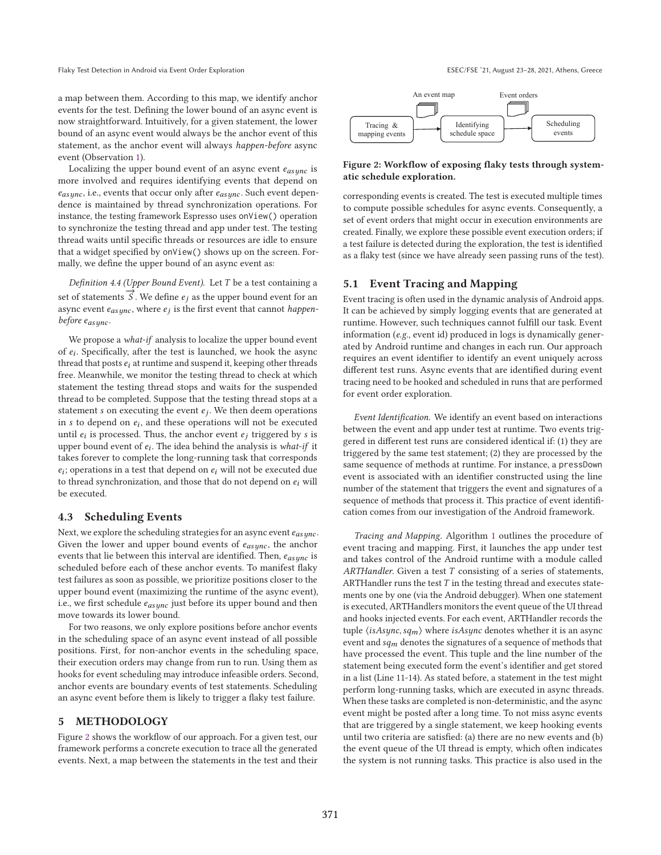Flaky Test Detection in Android via Event Order Exploration Exploration ESEC/FSE '21, August 23-28, 2021, Athens, Greece

a map between them. According to this map, we identify anchor events for the test. Defining the lower bound of an async event is now straightforward. Intuitively, for a given statement, the lower bound of an async event would always be the anchor event of this statement, as the anchor event will always *happen-before* async event (Observation 1).

Localizing the upper bound event of an async event  $e_{asunc}$  is more involved and requires identifying events that depend on  $e_{async}$ , i.e., events that occur only after  $e_{async}$ . Such event dependence is maintained by thread synchronization operations. For instance, the testing framework Espresso uses onView() operation to synchronize the testing thread and app under test. The testing thread waits until specific threads or resources are idle to ensure that a widget specified by onView() shows up on the screen. Formally, we define the upper bound of an async event as:

*Definition 4.4 (Upper Bound Event).* Let *T* be a test containing a set of statements  $\overrightarrow{S}$ . We define  $e_j$  as the upper bound event for an async event  $e_{async}$ , where  $e_j$  is the first event that cannot *happenbefore*  $e_{as ync}$ .

We propose a *what-if* analysis to localize the upper bound event of  $e_i$ . Specifically, after the test is launched, we hook the async thread that posts  $e_i$  at runtime and suspend it, keeping other threads free. Meanwhile, we monitor the testing thread to check at which statement the testing thread stops and waits for the suspended thread to be completed. Suppose that the testing thread stops at a statement  $s$  on executing the event  $e_i$ . We then deem operations in  $s$  to depend on  $e_i$ , and these operations will not be executed until  $e_i$  is processed. Thus, the anchor event  $e_i$  triggered by  $s$  is upper bound event of  $e_i$ . The idea behind the analysis is *what-if* it takes forever to complete the long-running task that corresponds  $e_i$ ; operations in a test that depend on  $e_i$  will not be executed due to thread synchronization, and those that do not depend on  $e_i$  will be executed.

#### **4.3 Scheduling Events**

Next, we explore the scheduling strategies for an async event  $e_{as$ unc. Given the lower and upper bound events of  $e_{async}$ , the anchor events that lie between this interval are identified. Then,  $e_{as ync}$  is scheduled before each of these anchor events. To manifest flaky test failures as soon as possible, we prioritize positions closer to the upper bound event (maximizing the runtime of the async event), i.e., we first schedule  $e_{\text{as} \text{unc}}$  just before its upper bound and then move towards its lower bound.

For two reasons, we only explore positions before anchor events in the scheduling space of an async event instead of all possible positions. First, for non-anchor events in the scheduling space, their execution orders may change from run to run. Using them as hooks for event scheduling may introduce infeasible orders. Second, anchor events are boundary events of test statements. Scheduling an async event before them is likely to trigger a flaky test failure.

### **5 METHODOLOGY**

Figure 2 shows the workflow of our approach. For a given test, our framework performs a concrete execution to trace all the generated events. Next, a map between the statements in the test and their



#### **Figure 2: Workflow of exposing flaky tests through systematic schedule exploration.**

corresponding events is created. The test is executed multiple times to compute possible schedules for async events. Consequently, a set of event orders that might occur in execution environments are created. Finally, we explore these possible event execution orders; if a test failure is detected during the exploration, the test is identified as a flaky test (since we have already seen passing runs of the test).

#### **5.1 Event Tracing and Mapping**

Event tracing is often used in the dynamic analysis of Android apps. It can be achieved by simply logging events that are generated at runtime. However, such techniques cannot fulfill our task. Event information (*e.g.*, event id) produced in logs is dynamically generated by Android runtime and changes in each run. Our approach requires an event identifier to identify an event uniquely across different test runs. Async events that are identified during event tracing need to be hooked and scheduled in runs that are performed for event order exploration.

*Event Identification.* We identify an event based on interactions between the event and app under test at runtime. Two events triggered in different test runs are considered identical if: (1) they are triggered by the same test statement; (2) they are processed by the same sequence of methods at runtime. For instance, a pressDown event is associated with an identifier constructed using the line number of the statement that triggers the event and signatures of a sequence of methods that process it. This practice of event identification comes from our investigation of the Android framework.

*Tracing and Mapping.* Algorithm 1 outlines the procedure of event tracing and mapping. First, it launches the app under test and takes control of the Android runtime with a module called ARTHandler. Given a test T consisting of a series of statements, ARTHandler runs the test  $T$  in the testing thread and executes statements one by one (via the Android debugger). When one statement is executed, ARTHandlers monitors the event queue of the UI thread and hooks injected events. For each event, ARTHandler records the tuple  $\langle$ isAsync, sq<sub>m</sub> $\rangle$  where isAsync denotes whether it is an async event and  $sq_m$  denotes the signatures of a sequence of methods that have processed the event. This tuple and the line number of the statement being executed form the event's identifier and get stored in a list (Line 11-14). As stated before, a statement in the test might perform long-running tasks, which are executed in async threads. When these tasks are completed is non-deterministic, and the async event might be posted after a long time. To not miss async events that are triggered by a single statement, we keep hooking events until two criteria are satisfied: (a) there are no new events and (b) the event queue of the UI thread is empty, which often indicates the system is not running tasks. This practice is also used in the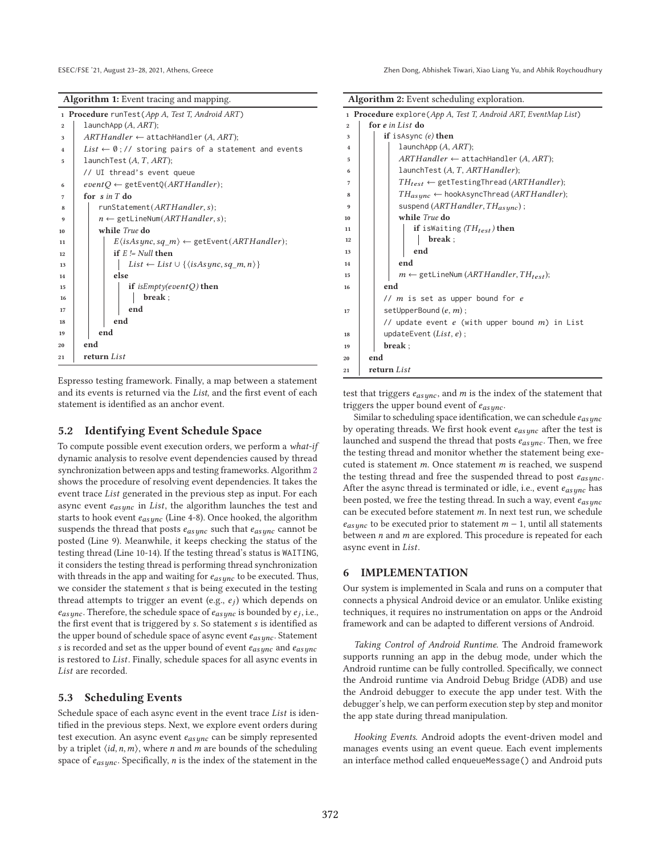**Algorithm 1:** Event tracing and mapping.

|                | 1 <b>Procedure</b> runTest(App A, Test T, Android ART)                  |  |  |  |  |  |  |
|----------------|-------------------------------------------------------------------------|--|--|--|--|--|--|
| $\overline{2}$ | LaunchApp $(A, ART)$ ;                                                  |  |  |  |  |  |  |
| 3              | $ARTHandler \leftarrow$ attachHandler (A, ART);                         |  |  |  |  |  |  |
| $\overline{4}$ | List $\leftarrow \emptyset$ ;// storing pairs of a statement and events |  |  |  |  |  |  |
| 5              | launchTest $(A, T, ART)$ ;                                              |  |  |  |  |  |  |
|                | // UI thread's event queue                                              |  |  |  |  |  |  |
| 6              | $eventO \leftarrow getEventQ(ARTHandler);$                              |  |  |  |  |  |  |
| 7              | for $sin T$ do                                                          |  |  |  |  |  |  |
| 8              | runStatement(ARTHandler, s);                                            |  |  |  |  |  |  |
| 9              | $n \leftarrow$ getLineNum( <i>ARTHandler</i> , <i>s</i> );              |  |  |  |  |  |  |
| 10             | while <i>True</i> do                                                    |  |  |  |  |  |  |
| 11             | $E\langle$ isAsync, sq_m $\rangle \leftarrow$ getEvent(ARTHandler);     |  |  |  |  |  |  |
| 12             | if $E = Null$ then                                                      |  |  |  |  |  |  |
| 13             | List $\leftarrow$ List $\cup$ { (is As ync, sq m, n) }                  |  |  |  |  |  |  |
| 14             | else                                                                    |  |  |  |  |  |  |
| 15             | if is $Empty(eventQ)$ then                                              |  |  |  |  |  |  |
| 16             | break:                                                                  |  |  |  |  |  |  |
| 17             | end                                                                     |  |  |  |  |  |  |
| 18             | end                                                                     |  |  |  |  |  |  |
| 19             | end                                                                     |  |  |  |  |  |  |
| 20             | end                                                                     |  |  |  |  |  |  |
| 21             | return List                                                             |  |  |  |  |  |  |

Espresso testing framework. Finally, a map between a statement and its events is returned via the *List*, and the first event of each statement is identified as an anchor event.

### **5.2 Identifying Event Schedule Space**

To compute possible event execution orders, we perform a *what-if* dynamic analysis to resolve event dependencies caused by thread synchronization between apps and testing frameworks. Algorithm 2 shows the procedure of resolving event dependencies. It takes the event trace List generated in the previous step as input. For each async event  $e_{asunc}$  in List, the algorithm launches the test and starts to hook event  $e_{async}$  (Line 4-8). Once hooked, the algorithm suspends the thread that posts  $e_{async}$  such that  $e_{async}$  cannot be posted (Line 9). Meanwhile, it keeps checking the status of the testing thread (Line 10-14). If the testing thread's status is WAITING, it considers the testing thread is performing thread synchronization with threads in the app and waiting for  $e_{as ync}$  to be executed. Thus, we consider the statement *s* that is being executed in the testing thread attempts to trigger an event (e.g.,  $e_j$ ) which depends on  $e_{async}$ . Therefore, the schedule space of  $e_{async}$  is bounded by  $e_j$ , i.e., the first event that is triggered by s. So statement s is identified as the upper bound of schedule space of async event  $e_{as ync}$ . Statement s is recorded and set as the upper bound of event  $e_{as ync}$  and  $e_{async}$ is restored to List. Finally, schedule spaces for all async events in List are recorded.

### **5.3 Scheduling Events**

Schedule space of each async event in the event trace List is identified in the previous steps. Next, we explore event orders during test execution. An async event  $e_{asymc}$  can be simply represented by a triplet  $\langle id, n, m \rangle$ , where *n* and *m* are bounds of the scheduling space of  $e_{async}$ . Specifically, *n* is the index of the statement in the

| Algorithm 2: Event scheduling exploration. |  |
|--------------------------------------------|--|
|--------------------------------------------|--|

|                | 1 <b>Procedure</b> explore ( $App A$ , Test T, Android ART, EventMap List) |
|----------------|----------------------------------------------------------------------------|
| $\overline{2}$ | for e in List do                                                           |
| 3              | if is Async $(e)$ then                                                     |
| 4              | launchApp $(A, ART)$ ;                                                     |
| 5              | $ARTHandler \leftarrow$ attachHandler (A, ART);                            |
| 6              | launchTest (A, T, ARTHandler);                                             |
| 7              | $TH_{test} \leftarrow$ getTestingThread (ARTHandler);                      |
| 8              | $TH_{assume} \leftarrow$ hookAsyncThread ( <i>ARTHandler</i> );            |
| 9              | suspend (ARTHandler, THasync);                                             |
| 10             | while True do                                                              |
| 11             | if is Waiting $(TH_{test})$ then                                           |
| 12             | break;                                                                     |
| 13             | end                                                                        |
| 14             | end                                                                        |
| 15             | $m \leftarrow$ getLineNum (ARTH andler, TH <sub>test</sub> );              |
| 16             | end                                                                        |
|                | $// m$ is set as upper bound for $e$                                       |
| 17             | setUpperBound $(e, m)$ ;                                                   |
|                | // update event $e$ (with upper bound $m$ ) in List                        |
| 18             | updateEvent $(List, e)$ ;                                                  |
| 19             | break;                                                                     |
| 20             | end                                                                        |
| 21             | return List                                                                |
|                |                                                                            |

test that triggers  $\mathfrak{e}_{async},$  and  $m$  is the index of the statement that triggers the upper bound event of  $e_{as\textit{unc}}$ .

Similar to scheduling space identification, we can schedule  $e_{as$ unc by operating threads. We first hook event  $e_{async}$  after the test is launched and suspend the thread that posts  $e_{asunc}$ . Then, we free the testing thread and monitor whether the statement being executed is statement  $m$ . Once statement  $m$  is reached, we suspend the testing thread and free the suspended thread to post  $e_{asunc}$ . After the async thread is terminated or idle, i.e., event  $e_{async}$  has been posted, we free the testing thread. In such a way, event  $e_{asunc}$ can be executed before statement  $m$ . In next test run, we schedule  $e_{assume}$  to be executed prior to statement  $m-1$ , until all statements between  $n$  and  $m$  are explored. This procedure is repeated for each async event in List.

### **6 IMPLEMENTATION**

Our system is implemented in Scala and runs on a computer that connects a physical Android device or an emulator. Unlike existing techniques, it requires no instrumentation on apps or the Android framework and can be adapted to different versions of Android.

*Taking Control of Android Runtime.* The Android framework supports running an app in the debug mode, under which the Android runtime can be fully controlled. Specifically, we connect the Android runtime via Android Debug Bridge (ADB) and use the Android debugger to execute the app under test. With the debugger's help, we can perform execution step by step and monitor the app state during thread manipulation.

*Hooking Events.* Android adopts the event-driven model and manages events using an event queue. Each event implements an interface method called enqueueMessage() and Android puts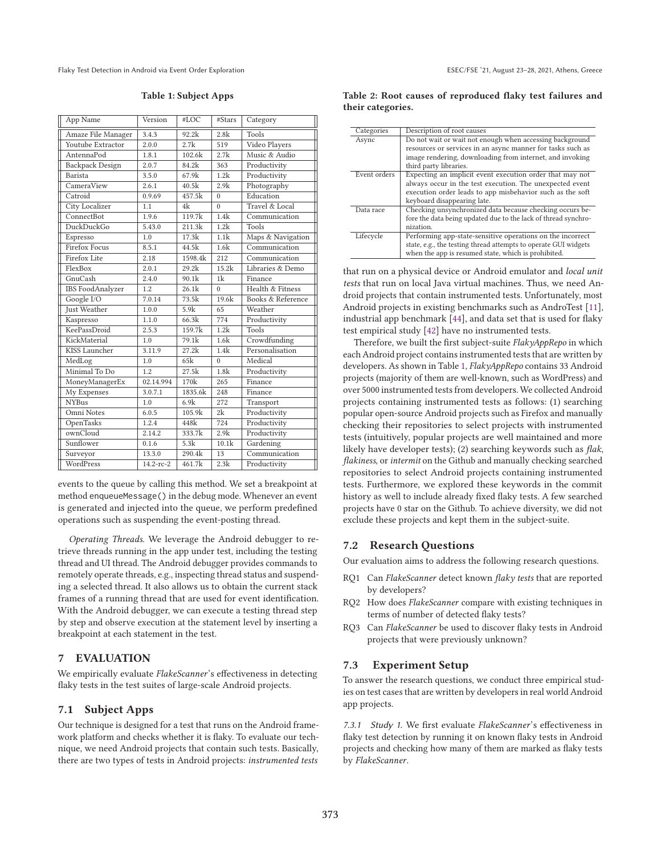Flaky Test Detection in Android via Event Order Exploration **EXPLORES** ESEC/FSE '21, August 23-28, 2021, Athens, Greece

**Table 1: Subject Apps**

| App Name                | Version   | #LOC    | #Stars   | Category          |
|-------------------------|-----------|---------|----------|-------------------|
| Amaze File Manager      | 3.4.3     | 92.2k   | 2.8k     | Tools             |
| Youtube Extractor       | 2.0.0     | 2.7k    | 519      | Video Players     |
| AntennaPod              | 1.8.1     | 102.6k  | 2.7k     | Music & Audio     |
| <b>Backpack Design</b>  | 2.0.7     | 84.2k   | 363      | Productivity      |
| Barista                 | 3.5.0     | 67.9k   | 1.2k     | Productivity      |
| CameraView              | 2.6.1     | 40.5k   | 2.9k     | Photography       |
| Catroid                 | 0.9.69    | 457.5k  | $\Omega$ | Education         |
| City Localizer          | 1.1       | 4k      | $\Omega$ | Travel & Local    |
| ConnectBot              | 1.9.6     | 119.7k  | 1.4k     | Communication     |
| <b>DuckDuckGo</b>       | 5.43.0    | 211.3k  | 1.2k     | Tools             |
| Espresso                | 1.0       | 17.3k   | 1.1k     | Maps & Navigation |
| <b>Firefox Focus</b>    | 8.5.1     | 44.5k   | 1.6k     | Communication     |
| Firefox Lite            | 2.18      | 1598.4k | 212      | Communication     |
| FlexBox                 | 2.0.1     | 29.2k   | 15.2k    | Libraries & Demo  |
| <b>GnuCash</b>          | 2.4.0     | 90.1k   | 1k       | Finance           |
| <b>IBS</b> FoodAnalyzer | 1.2       | 26.1k   | $\Omega$ | Health & Fitness  |
| Google I/O              | 7.0.14    | 73.5k   | 19.6k    | Books & Reference |
| <b>Just Weather</b>     | 1.0.0     | 5.9k    | 65       | Weather           |
| Kaspresso               | 1.1.0     | 66.3k   | 774      | Productivity      |
| KeePassDroid            | 2.5.3     | 159.7k  | 1.2k     | Tools             |
| KickMaterial            | 1.0       | 79.1k   | 1.6k     | Crowdfunding      |
| KISS Launcher           | 3.11.9    | 27.2k   | 1.4k     | Personalisation   |
| MedLog                  | 1.0       | 65k     | $\Omega$ | Medical           |
| Minimal To Do           | 1.2       | 27.5k   | 1.8k     | Productivity      |
| MoneyManagerEx          | 02.14.994 | 170k    | 265      | Finance           |
| My Expenses             | 3.0.7.1   | 1835.6k | 248      | Finance           |
| <b>NYBus</b>            | 1.0       | 6.9k    | 272      | Transport         |
| Omni Notes              | 6.0.5     | 105.9k  | 2k       | Productivity      |
| OpenTasks               | 1.2.4     | 448k    | 724      | Productivity      |
| ownCloud                | 2.14.2    | 333.7k  | 2.9k     | Productivity      |
| Sunflower               | 0.1.6     | 5.3k    | 10.1k    | Gardening         |
| Surveyor                | 13.3.0    | 290.4k  | 13       | Communication     |
| WordPress               | 14.2-rc-2 | 461.7k  | 2.3k     | Productivity      |

events to the queue by calling this method. We set a breakpoint at method enqueueMessage() in the debug mode. Whenever an event is generated and injected into the queue, we perform predefined operations such as suspending the event-posting thread.

*Operating Threads.* We leverage the Android debugger to retrieve threads running in the app under test, including the testing thread and UI thread. The Android debugger provides commands to remotely operate threads, e.g., inspecting thread status and suspending a selected thread. It also allows us to obtain the current stack frames of a running thread that are used for event identification. With the Android debugger, we can execute a testing thread step by step and observe execution at the statement level by inserting a breakpoint at each statement in the test.

### **7 EVALUATION**

We empirically evaluate *FlakeScanner*'s effectiveness in detecting flaky tests in the test suites of large-scale Android projects.

### **7.1 Subject Apps**

Our technique is designed for a test that runs on the Android framework platform and checks whether it is flaky. To evaluate our technique, we need Android projects that contain such tests. Basically, there are two types of tests in Android projects: *instrumented tests*

| Table 2: Root causes of reproduced flaky test failures and |  |  |  |  |
|------------------------------------------------------------|--|--|--|--|
| their categories.                                          |  |  |  |  |

| Categories   | Description of root causes                                                                                                                                                                                       |
|--------------|------------------------------------------------------------------------------------------------------------------------------------------------------------------------------------------------------------------|
| Async        | Do not wait or wait not enough when accessing background<br>resources or services in an async manner for tasks such as<br>image rendering, downloading from internet, and invoking<br>third party libraries.     |
| Event orders | Expecting an implicit event execution order that may not<br>always occur in the test execution. The unexpected event<br>execution order leads to app misbehavior such as the soft<br>keyboard disappearing late. |
| Data race    | Checking unsynchronized data because checking occurs be-<br>fore the data being updated due to the lack of thread synchro-<br>nization.                                                                          |
| Lifecycle    | Performing app-state-sensitive operations on the incorrect<br>state, e.g., the testing thread attempts to operate GUI widgets<br>when the app is resumed state, which is prohibited.                             |

that run on a physical device or Android emulator and *local unit tests* that run on local Java virtual machines. Thus, we need Android projects that contain instrumented tests. Unfortunately, most Android projects in existing benchmarks such as AndroTest [11], industrial app benchmark [44], and data set that is used for flaky test empirical study [42] have no instrumented tests.

Therefore, we built the first subject-suite *FlakyAppRepo* in which each Android project contains instrumented tests that are written by developers. As shown in Table 1, *FlakyAppRepo* contains 33 Android projects (majority of them are well-known, such as WordPress) and over 5000 instrumented tests from developers. We collected Android projects containing instrumented tests as follows: (1) searching popular open-source Android projects such as Firefox and manually checking their repositories to select projects with instrumented tests (intuitively, popular projects are well maintained and more likely have developer tests); (2) searching keywords such as *flak*, *flakiness*, or *intermit* on the Github and manually checking searched repositories to select Android projects containing instrumented tests. Furthermore, we explored these keywords in the commit history as well to include already fixed flaky tests. A few searched projects have 0 star on the Github. To achieve diversity, we did not exclude these projects and kept them in the subject-suite.

### **7.2 Research Questions**

Our evaluation aims to address the following research questions.

- RQ1 Can *FlakeScanner* detect known *flaky tests* that are reported by developers?
- RQ2 How does *FlakeScanner* compare with existing techniques in terms of number of detected flaky tests?
- RQ3 Can *FlakeScanner* be used to discover flaky tests in Android projects that were previously unknown?

### **7.3 Experiment Setup**

To answer the research questions, we conduct three empirical studies on test cases that are written by developers in real world Android app projects.

7.3.1 Study 1. We first evaluate *FlakeScanner*'s effectiveness in flaky test detection by running it on known flaky tests in Android projects and checking how many of them are marked as flaky tests by *FlakeScanner*.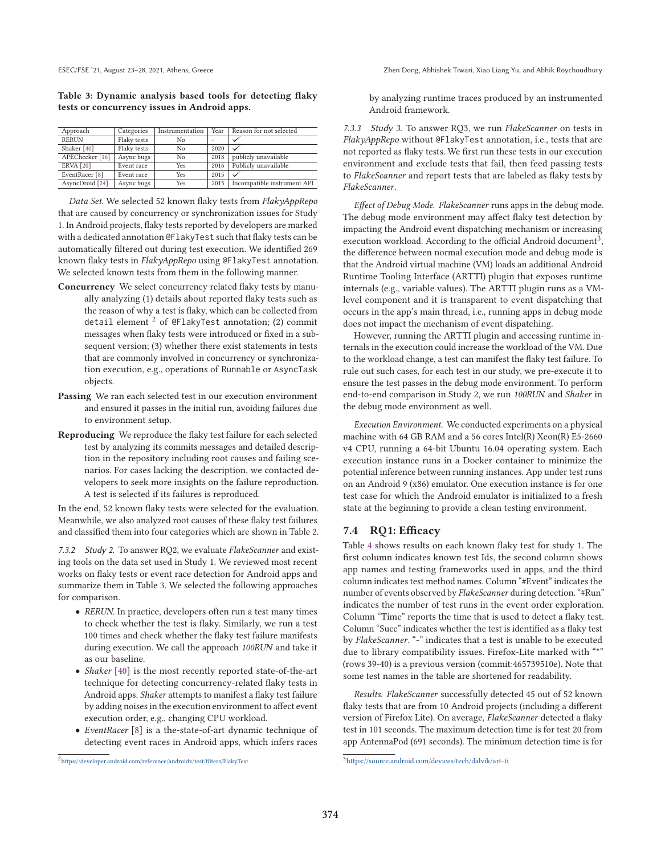**Table 3: Dynamic analysis based tools for detecting flaky tests or concurrency issues in Android apps.**

| Approach                   | Categories  | Instrumentation | Year | Reason for not selected     |
|----------------------------|-------------|-----------------|------|-----------------------------|
| <b>RERUN</b>               | Flaky tests | No              | ۰    |                             |
| Shaker [40]                | Flaky tests | No.             | 2020 |                             |
| APEChecker <sup>[16]</sup> | Async bugs  | No              | 2018 | publicly unavailable        |
| <b>ERVA</b> [20]           | Event race  | Yes             | 2016 | Publicly unavailable        |
| EventRacer <sup>[8]</sup>  | Event race  | Yes             | 2015 |                             |
| AsyncDroid [24]            | Async bugs  | Yes             | 2015 | Incompatible instrument API |

*Data Set.* We selected 52 known flaky tests from *FlakyAppRepo* that are caused by concurrency or synchronization issues for Study 1. In Android projects, flaky tests reported by developers are marked with a dedicated annotation @FlakyTest such that flaky tests can be automatically filtered out during test execution. We identified 269 known flaky tests in *FlakyAppRepo* using @FlakyTest annotation. We selected known tests from them in the following manner.

- **Concurrency** We select concurrency related flaky tests by manually analyzing (1) details about reported flaky tests such as the reason of why a test is flaky, which can be collected from detail element  $2$  of @FlakyTest annotation; (2) commit messages when flaky tests were introduced or fixed in a subsequent version; (3) whether there exist statements in tests that are commonly involved in concurrency or synchronization execution, e.g., operations of Runnable or AsyncTask objects.
- **Passing** We ran each selected test in our execution environment and ensured it passes in the initial run, avoiding failures due to environment setup.
- **Reproducing** We reproduce the flaky test failure for each selected test by analyzing its commits messages and detailed description in the repository including root causes and failing scenarios. For cases lacking the description, we contacted developers to seek more insights on the failure reproduction. A test is selected if its failures is reproduced.

In the end, 52 known flaky tests were selected for the evaluation. Meanwhile, we also analyzed root causes of these flaky test failures and classified them into four categories which are shown in Table 2.

7.3.2 Study 2. To answer RQ2, we evaluate *FlakeScanner* and existing tools on the data set used in Study 1. We reviewed most recent works on flaky tests or event race detection for Android apps and summarize them in Table 3. We selected the following approaches for comparison.

- *RERUN.* In practice, developers often run a test many times to check whether the test is flaky. Similarly, we run a test 100 times and check whether the flaky test failure manifests during execution. We call the approach *100RUN* and take it as our baseline.
- *Shaker* [40] is the most recently reported state-of-the-art technique for detecting concurrency-related flaky tests in Android apps. *Shaker* attempts to manifest a flaky test failure by adding noises in the execution environment to affect event execution order, e.g., changing CPU workload.
- *EventRacer* [8] is a the-state-of-art dynamic technique of detecting event races in Android apps, which infers races

by analyzing runtime traces produced by an instrumented Android framework.

7.3.3 Study 3. To answer RQ3, we run *FlakeScanner* on tests in *FlakyAppRepo* without @FlakyTest annotation, i.e., tests that are not reported as flaky tests. We first run these tests in our execution environment and exclude tests that fail, then feed passing tests to *FlakeScanner* and report tests that are labeled as flaky tests by *FlakeScanner*.

*Effect of Debug Mode. FlakeScanner* runs apps in the debug mode. The debug mode environment may affect flaky test detection by impacting the Android event dispatching mechanism or increasing execution workload. According to the official Android document<sup>3</sup>, the difference between normal execution mode and debug mode is that the Android virtual machine (VM) loads an additional Android Runtime Tooling Interface (ARTTI) plugin that exposes runtime internals (e.g., variable values). The ARTTI plugin runs as a VMlevel component and it is transparent to event dispatching that occurs in the app's main thread, i.e., running apps in debug mode does not impact the mechanism of event dispatching.

However, running the ARTTI plugin and accessing runtime internals in the execution could increase the workload of the VM. Due to the workload change, a test can manifest the flaky test failure. To rule out such cases, for each test in our study, we pre-execute it to ensure the test passes in the debug mode environment. To perform end-to-end comparison in Study 2, we run *100RUN* and *Shaker* in the debug mode environment as well.

*Execution Environment.* We conducted experiments on a physical machine with 64 GB RAM and a 56 cores Intel(R) Xeon(R) E5-2660 v4 CPU, running a 64-bit Ubuntu 16.04 operating system. Each execution instance runs in a Docker container to minimize the potential inference between running instances. App under test runs on an Android 9 (x86) emulator. One execution instance is for one test case for which the Android emulator is initialized to a fresh state at the beginning to provide a clean testing environment.

### **7.4 RQ1: Efficacy**

Table 4 shows results on each known flaky test for study 1. The first column indicates known test Ids, the second column shows app names and testing frameworks used in apps, and the third column indicates test method names. Column "#Event" indicates the number of events observed by *FlakeScanner* during detection. "#Run" indicates the number of test runs in the event order exploration. Column "Time" reports the time that is used to detect a flaky test. Column "Succ" indicates whether the test is identified as a flaky test by *FlakeScanner*. "-" indicates that a test is unable to be executed due to library compatibility issues. Firefox-Lite marked with "\*" (rows 39-40) is a previous version (commit:465739510e). Note that some test names in the table are shortened for readability.

*Results. FlakeScanner* successfully detected 45 out of 52 known flaky tests that are from 10 Android projects (including a different version of Firefox Lite). On average, *FlakeScanner* detected a flaky test in 101 seconds. The maximum detection time is for test 20 from app AntennaPod (691 seconds). The minimum detection time is for

 $^2$ https://developer.android.com/reference/androidx/test/filters/FlakyTest

<sup>3</sup>https://source.android.com/devices/tech/dalvik/art-ti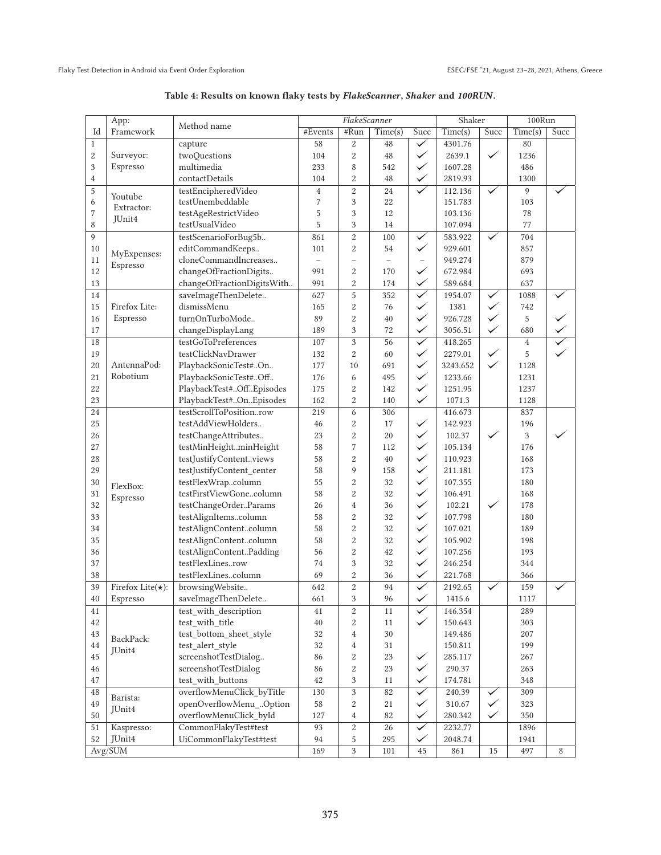|                  | App:                     |                            | FlakeScanner   |                          |                          |                          | Shaker          |              | 100Run         |      |
|------------------|--------------------------|----------------------------|----------------|--------------------------|--------------------------|--------------------------|-----------------|--------------|----------------|------|
| Id               | Framework                | Method name                | #Events        | #Run                     | Time(s)                  | Succ                     | Time(s)         | Succ         | Time(s)        | Succ |
| $\mathbf{1}$     |                          | capture                    | 58             | $\overline{c}$           | 48                       | $\checkmark$             | 4301.76         |              | 80             |      |
| $\boldsymbol{2}$ | Surveyor:                | twoQuestions               | 104            | $\overline{c}$           | 48                       | $\checkmark$             | 2639.1          | $\checkmark$ | 1236           |      |
| 3                | Espresso                 | multimedia                 | 233            | 8                        | 542                      | $\checkmark$             | 1607.28         |              | 486            |      |
| $\overline{4}$   |                          | contactDetails             | 104            | $\overline{c}$           | 48                       | $\checkmark$             | 2819.93         |              | 1300           |      |
| 5                |                          | testEncipheredVideo        | $\overline{4}$ | $\overline{c}$           | 24                       | $\checkmark$             | 112.136         | $\checkmark$ | 9              |      |
| 6                | Youtube                  | testUnembeddable           | $\overline{7}$ | 3                        | 22                       |                          | 151.783         |              | 103            |      |
| 7                | Extractor:               | testAgeRestrictVideo       | 5              | 3                        | 12                       |                          | 103.136         |              | 78             |      |
| 8                | JUnit4                   | testUsualVideo             | 5              | 3                        | 14                       |                          | 107.094         |              | 77             |      |
| 9                |                          | testScenarioForBug5b       | 861            | $\overline{c}$           | 100                      | $\checkmark$             | 583.922         | $\checkmark$ | 704            |      |
| 10               |                          | editCommandKeeps           | 101            | $\overline{c}$           | 54                       | ✓                        | 929.601         |              | 857            |      |
| 11               | MyExpenses:              | cloneCommandIncreases      | $\overline{a}$ | $\overline{\phantom{0}}$ | $\overline{\phantom{0}}$ | $\overline{\phantom{0}}$ | 949.274         |              | 879            |      |
| 12               | Espresso                 | changeOfFractionDigits     | 991            | $\boldsymbol{2}$         | 170                      | $\checkmark$             | 672.984         |              | 693            |      |
| 13               |                          | changeOfFractionDigitsWith | 991            | $\overline{c}$           | 174                      | $\checkmark$             | 589.684         |              | 637            |      |
| 14               |                          | saveImageThenDelete        | 627            | 5                        | 352                      | $\overline{\checkmark}$  | 1954.07         | $\checkmark$ | 1088           |      |
| 15               | Firefox Lite:            | dismissMenu                |                |                          |                          | $\checkmark$             |                 | $\checkmark$ |                |      |
|                  |                          | turnOnTurboMode            | 165<br>89      | $\,2$<br>$\overline{c}$  | 76                       | $\checkmark$             | 1381<br>926.728 | $\checkmark$ | 742<br>5       |      |
| 16               | Espresso                 |                            |                |                          | 40                       | $\checkmark$             |                 |              |                |      |
| $17\,$           |                          | changeDisplayLang          | 189            | 3                        | 72                       |                          | 3056.51         | $\checkmark$ | 680            |      |
| 18               |                          | testGoToPreferences        | 107            | 3                        | 56                       | $\checkmark$             | 418.265         |              | $\overline{4}$ |      |
| 19               |                          | testClickNavDrawer         | 132            | $\overline{2}$           | 60                       | $\checkmark$             | 2279.01         | $\checkmark$ | 5              |      |
| 20               | AntennaPod:              | PlaybackSonicTest#On       | 177            | 10                       | 691                      | $\checkmark$             | 3243.652        | $\checkmark$ | 1128           |      |
| 21               | Robotium                 | PlaybackSonicTest#Off      | 176            | 6                        | 495                      | $\checkmark$             | 1233.66         |              | 1231           |      |
| 22               |                          | PlaybackTest#OffEpisodes   | 175            | $\boldsymbol{2}$         | 142                      | $\checkmark$             | 1251.95         |              | 1237           |      |
| 23               |                          | PlaybackTest#OnEpisodes    | 162            | $\overline{c}$           | 140                      | ✓                        | 1071.3          |              | 1128           |      |
| 24               |                          | testScrollToPositionrow    | 219            | 6                        | 306                      |                          | 416.673         |              | 837            |      |
| 25               |                          | testAddViewHolders         | 46             | $\overline{c}$           | 17                       | $\checkmark$             | 142.923         |              | 196            |      |
| 26               |                          | testChangeAttributes       | 23             | $\overline{c}$           | $20\,$                   | $\checkmark$             | 102.37          | $\checkmark$ | $\mathbf{3}$   |      |
| 27               |                          | testMinHeightminHeight     | 58             | 7                        | 112                      | $\checkmark$             | 105.134         |              | 176            |      |
| 28               |                          | testJustifyContentviews    | 58             | $\overline{2}$           | 40                       | $\checkmark$             | 110.923         |              | 168            |      |
| 29               |                          | testJustifyContent_center  | 58             | 9                        | 158                      | $\checkmark$             | 211.181         |              | 173            |      |
| 30               | FlexBox:                 | testFlexWrapcolumn         | 55             | $\overline{c}$           | 32                       | $\checkmark$             | 107.355         |              | 180            |      |
| 31               | Espresso                 | testFirstViewGonecolumn    | 58             | $\boldsymbol{2}$         | 32                       | $\checkmark$             | 106.491         |              | 168            |      |
| 32               |                          | testChangeOrderParams      | 26             | $\overline{4}$           | 36                       | $\checkmark$             | 102.21          | ✓            | 178            |      |
| 33               |                          | testAlignItemscolumn       | 58             | $\boldsymbol{2}$         | 32                       | $\checkmark$             | 107.798         |              | 180            |      |
| 34               |                          | testAlignContentcolumn     | 58             | $\overline{c}$           | 32                       | $\checkmark$             | 107.021         |              | 189            |      |
| 35               |                          | testAlignContentcolumn     | 58             | $\overline{c}$           | 32                       | $\checkmark$             | 105.902         |              | 198            |      |
| 36               |                          | testAlignContentPadding    | 56             | $\overline{c}$           | 42                       | $\checkmark$             | 107.256         |              | 193            |      |
| 37               |                          | testFlexLinesrow           | 74             | 3                        | 32                       | $\checkmark$             | 246.254         |              | 344            |      |
| 38               |                          | testFlexLinescolumn        | 69             | 2                        | 36                       | ✓                        | 221.768         |              | 366            |      |
| 39               | Firefox Lite $(\star)$ : | browsingWebsite            | 642            | $\overline{c}$           | 94                       |                          | 2192.65         |              | 159            |      |
| 40               | Espresso                 | saveImageThenDelete        | 661            | 3                        | 96                       | $\blacktriangledown$     | 1415.6          |              | 1117           |      |
| 41               |                          | test_with_description      | 41             | $\boldsymbol{2}$         | 11                       | $\checkmark$             | 146.354         |              | 289            |      |
| 42               |                          | test_with_title            | 40             | $\overline{c}$           | 11                       | $\checkmark$             | 150.643         |              | 303            |      |
| 43               |                          | test_bottom_sheet_style    | $32\,$         | 4                        | 30                       |                          | 149.486         |              | 207            |      |
| 44               | BackPack:                | test_alert_style           | 32             | $\overline{4}$           | 31                       |                          | 150.811         |              | 199            |      |
| 45               | JUnit4                   | screenshotTestDialog       | 86             | 2                        | 23                       | $\checkmark$             | 285.117         |              | $267\,$        |      |
| 46               |                          | screenshotTestDialog       | 86             | $\,2$                    | 23                       | $\checkmark$             | 290.37          |              | 263            |      |
| 47               |                          | test with buttons          | 42             | 3                        | 11                       | $\checkmark$             | 174.781         |              | 348            |      |
| 48               |                          | overflowMenuClick_byTitle  | 130            | 3                        | 82                       | $\checkmark$             | 240.39          | $\checkmark$ | 309            |      |
| 49               | Barista:                 | openOverflowMenu_Option    | 58             |                          | 21                       | $\checkmark$             |                 | $\checkmark$ | 323            |      |
|                  | JUnit4                   | overflowMenuClick_byId     |                | $\overline{c}$           |                          | $\checkmark$             | 310.67          | $\checkmark$ |                |      |
| 50               |                          |                            | 127            | $\overline{4}$           | 82                       | $\overline{\checkmark}$  | 280.342         |              | 350            |      |
| 51               | Kaspresso:               | CommonFlakyTest#test       | 93             | 2                        | 26                       |                          | 2232.77         |              | 1896           |      |
| 52               | JUnit4                   | UiCommonFlakyTest#test     | 94             | 5                        | 295                      | $\checkmark$             | 2048.74         |              | 1941           |      |
|                  | Avg/SUM                  |                            | 169            | $\overline{3}$           | 101                      | 45                       | 861             | 15           | 497            | 8    |

# **Table 4: Results on known flaky tests by** *FlakeScanner***,** *Shaker* **and** *100RUN***.**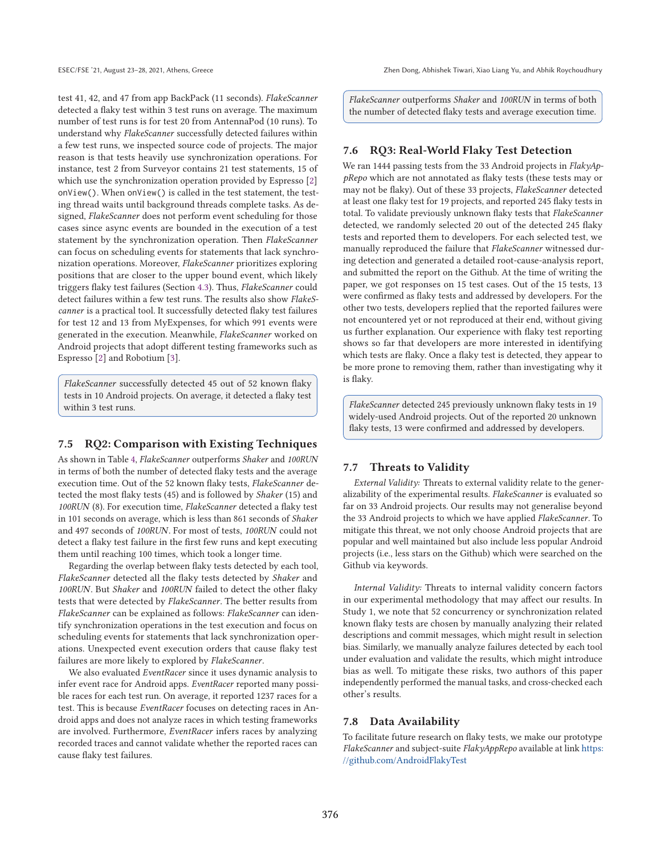test 41, 42, and 47 from app BackPack (11 seconds). *FlakeScanner* detected a flaky test within 3 test runs on average. The maximum number of test runs is for test 20 from AntennaPod (10 runs). To understand why *FlakeScanner* successfully detected failures within a few test runs, we inspected source code of projects. The major reason is that tests heavily use synchronization operations. For instance, test 2 from Surveyor contains 21 test statements, 15 of which use the synchronization operation provided by Espresso [2] onView(). When onView() is called in the test statement, the testing thread waits until background threads complete tasks. As designed, *FlakeScanner* does not perform event scheduling for those cases since async events are bounded in the execution of a test statement by the synchronization operation. Then *FlakeScanner* can focus on scheduling events for statements that lack synchronization operations. Moreover, *FlakeScanner* prioritizes exploring positions that are closer to the upper bound event, which likely triggers flaky test failures (Section 4.3). Thus, *FlakeScanner* could detect failures within a few test runs. The results also show *FlakeScanner* is a practical tool. It successfully detected flaky test failures for test 12 and 13 from MyExpenses, for which 991 events were generated in the execution. Meanwhile, *FlakeScanner* worked on Android projects that adopt different testing frameworks such as Espresso [2] and Robotium [3].

*FlakeScanner* successfully detected 45 out of 52 known flaky tests in 10 Android projects. On average, it detected a flaky test within 3 test runs.

### **7.5 RQ2: Comparison with Existing Techniques**

As shown in Table 4, *FlakeScanner* outperforms *Shaker* and *100RUN* in terms of both the number of detected flaky tests and the average execution time. Out of the 52 known flaky tests, *FlakeScanner* detected the most flaky tests (45) and is followed by *Shaker* (15) and *100RUN* (8). For execution time, *FlakeScanner* detected a flaky test in 101 seconds on average, which is less than 861 seconds of *Shaker* and 497 seconds of *100RUN*. For most of tests, *100RUN* could not detect a flaky test failure in the first few runs and kept executing them until reaching 100 times, which took a longer time.

Regarding the overlap between flaky tests detected by each tool, *FlakeScanner* detected all the flaky tests detected by *Shaker* and *100RUN*. But *Shaker* and *100RUN* failed to detect the other flaky tests that were detected by *FlakeScanner*. The better results from *FlakeScanner* can be explained as follows: *FlakeScanner* can identify synchronization operations in the test execution and focus on scheduling events for statements that lack synchronization operations. Unexpected event execution orders that cause flaky test failures are more likely to explored by *FlakeScanner*.

We also evaluated *EventRacer* since it uses dynamic analysis to infer event race for Android apps. *EventRacer* reported many possible races for each test run. On average, it reported 1237 races for a test. This is because *EventRacer* focuses on detecting races in Android apps and does not analyze races in which testing frameworks are involved. Furthermore, *EventRacer* infers races by analyzing recorded traces and cannot validate whether the reported races can cause flaky test failures.

*FlakeScanner* outperforms *Shaker* and *100RUN* in terms of both the number of detected flaky tests and average execution time.

### **7.6 RQ3: Real-World Flaky Test Detection**

We ran 1444 passing tests from the 33 Android projects in *FlakyAppRepo* which are not annotated as flaky tests (these tests may or may not be flaky). Out of these 33 projects, *FlakeScanner* detected at least one flaky test for 19 projects, and reported 245 flaky tests in total. To validate previously unknown flaky tests that *FlakeScanner* detected, we randomly selected 20 out of the detected 245 flaky tests and reported them to developers. For each selected test, we manually reproduced the failure that *FlakeScanner* witnessed during detection and generated a detailed root-cause-analysis report, and submitted the report on the Github. At the time of writing the paper, we got responses on 15 test cases. Out of the 15 tests, 13 were confirmed as flaky tests and addressed by developers. For the other two tests, developers replied that the reported failures were not encountered yet or not reproduced at their end, without giving us further explanation. Our experience with flaky test reporting shows so far that developers are more interested in identifying which tests are flaky. Once a flaky test is detected, they appear to be more prone to removing them, rather than investigating why it is flaky.

*FlakeScanner* detected 245 previously unknown flaky tests in 19 widely-used Android projects. Out of the reported 20 unknown flaky tests, 13 were confirmed and addressed by developers.

### **7.7 Threats to Validity**

*External Validity:* Threats to external validity relate to the generalizability of the experimental results. *FlakeScanner* is evaluated so far on 33 Android projects. Our results may not generalise beyond the 33 Android projects to which we have applied *FlakeScanner*. To mitigate this threat, we not only choose Android projects that are popular and well maintained but also include less popular Android projects (i.e., less stars on the Github) which were searched on the Github via keywords.

*Internal Validity:* Threats to internal validity concern factors in our experimental methodology that may affect our results. In Study 1, we note that 52 concurrency or synchronization related known flaky tests are chosen by manually analyzing their related descriptions and commit messages, which might result in selection bias. Similarly, we manually analyze failures detected by each tool under evaluation and validate the results, which might introduce bias as well. To mitigate these risks, two authors of this paper independently performed the manual tasks, and cross-checked each other's results.

### **7.8 Data Availability**

To facilitate future research on flaky tests, we make our prototype *FlakeScanner* and subject-suite *FlakyAppRepo* available at link https: //github.com/AndroidFlakyTest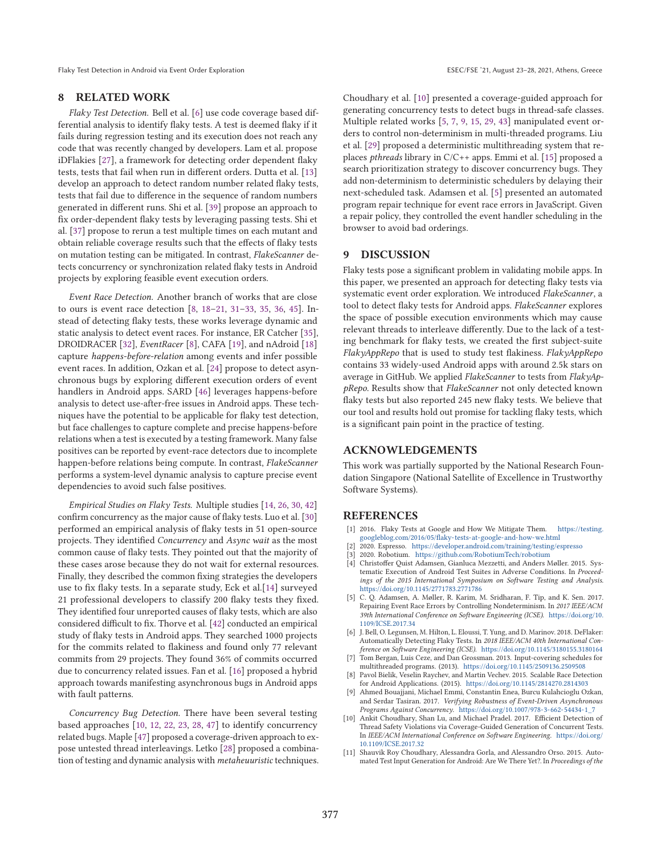Flaky Test Detection in Android via Event Order Exploration Exploration ESEC/FSE '21, August 23-28, 2021, Athens, Greece

#### **8 RELATED WORK**

*Flaky Test Detection.* Bell et al. [6] use code coverage based differential analysis to identify flaky tests. A test is deemed flaky if it fails during regression testing and its execution does not reach any code that was recently changed by developers. Lam et al. propose iDFlakies [27], a framework for detecting order dependent flaky tests, tests that fail when run in different orders. Dutta et al. [13] develop an approach to detect random number related flaky tests, tests that fail due to difference in the sequence of random numbers generated in different runs. Shi et al. [39] propose an approach to fix order-dependent flaky tests by leveraging passing tests. Shi et al. [37] propose to rerun a test multiple times on each mutant and obtain reliable coverage results such that the effects of flaky tests on mutation testing can be mitigated. In contrast, *FlakeScanner* detects concurrency or synchronization related flaky tests in Android projects by exploring feasible event execution orders.

*Event Race Detection.* Another branch of works that are close to ours is event race detection [8, 18–21, 31–33, 35, 36, 45]. Instead of detecting flaky tests, these works leverage dynamic and static analysis to detect event races. For instance, ER Catcher [35], DROIDRACER [32], *EventRacer* [8], CAFA [19], and nAdroid [18] capture *happens-before-relation* among events and infer possible event races. In addition, Ozkan et al. [24] propose to detect asynchronous bugs by exploring different execution orders of event handlers in Android apps. SARD [46] leverages happens-before analysis to detect use-after-free issues in Android apps. These techniques have the potential to be applicable for flaky test detection, but face challenges to capture complete and precise happens-before relations when a test is executed by a testing framework. Many false positives can be reported by event-race detectors due to incomplete happen-before relations being compute. In contrast, *FlakeScanner* performs a system-level dynamic analysis to capture precise event dependencies to avoid such false positives.

*Empirical Studies on Flaky Tests.* Multiple studies [14, 26, 30, 42] confirm concurrency as the major cause of flaky tests. Luo et al. [30] performed an empirical analysis of flaky tests in 51 open-source projects. They identified *Concurrency* and *Async wait* as the most common cause of flaky tests. They pointed out that the majority of these cases arose because they do not wait for external resources. Finally, they described the common fixing strategies the developers use to fix flaky tests. In a separate study, Eck et al.[14] surveyed 21 professional developers to classify 200 flaky tests they fixed. They identified four unreported causes of flaky tests, which are also considered difficult to fix. Thorve et al. [42] conducted an empirical study of flaky tests in Android apps. They searched 1000 projects for the commits related to flakiness and found only 77 relevant commits from 29 projects. They found 36% of commits occurred due to concurrency related issues. Fan et al. [16] proposed a hybrid approach towards manifesting asynchronous bugs in Android apps with fault patterns.

*Concurrency Bug Detection.* There have been several testing based approaches [10, 12, 22, 23, 28, 47] to identify concurrency related bugs. Maple [47] proposed a coverage-driven approach to expose untested thread interleavings. Letko [28] proposed a combination of testing and dynamic analysis with *metaheuuristic* techniques.

Choudhary et al. [10] presented a coverage-guided approach for generating concurrency tests to detect bugs in thread-safe classes. Multiple related works [5, 7, 9, 15, 29, 43] manipulated event orders to control non-determinism in multi-threaded programs. Liu et al. [29] proposed a deterministic multithreading system that replaces *pthreads* library in C/C++ apps. Emmi et al. [15] proposed a search prioritization strategy to discover concurrency bugs. They add non-determinism to deterministic schedulers by delaying their next-scheduled task. Adamsen et al. [5] presented an automated program repair technique for event race errors in JavaScript. Given a repair policy, they controlled the event handler scheduling in the browser to avoid bad orderings.

### **9 DISCUSSION**

Flaky tests pose a significant problem in validating mobile apps. In this paper, we presented an approach for detecting flaky tests via systematic event order exploration. We introduced *FlakeScanner*, a tool to detect flaky tests for Android apps. *FlakeScanner* explores the space of possible execution environments which may cause relevant threads to interleave differently. Due to the lack of a testing benchmark for flaky tests, we created the first subject-suite *FlakyAppRepo* that is used to study test flakiness. *FlakyAppRepo* contains 33 widely-used Android apps with around 2.5k stars on average in GitHub. We applied *FlakeScanner* to tests from *FlakyAppRepo*. Results show that *FlakeScanner* not only detected known flaky tests but also reported 245 new flaky tests. We believe that our tool and results hold out promise for tackling flaky tests, which is a significant pain point in the practice of testing.

### **ACKNOWLEDGEMENTS**

This work was partially supported by the National Research Foundation Singapore (National Satellite of Excellence in Trustworthy Software Systems).

#### **REFERENCES**

- [1] 2016. Flaky Tests at Google and How We Mitigate Them. https://testing. googleblog.com/2016/05/flaky-tests-at-google-and-how-we.html
- [2] 2020. Espresso. https://developer.android.com/training/testing/espresso
- [3] 2020. Robotium. https://github.com/RobotiumTech/robotium
- [4] Christoffer Quist Adamsen, Gianluca Mezzetti, and Anders Møller. 2015. Systematic Execution of Android Test Suites in Adverse Conditions. In *Proceedings of the 2015 International Symposium on Software Testing and Analysis*. https://doi.org/10.1145/2771783.2771786
- [5] C. Q. Adamsen, A. Møller, R. Karim, M. Sridharan, F. Tip, and K. Sen. 2017. Repairing Event Race Errors by Controlling Nondeterminism. In *2017 IEEE/ACM 39th International Conference on Software Engineering (ICSE)*. https://doi.org/10. 1109/ICSE.2017.34
- [6] J. Bell, O. Legunsen, M. Hilton, L. Eloussi, T. Yung, and D. Marinov. 2018. DeFlaker: Automatically Detecting Flaky Tests. In *2018 IEEE/ACM 40th International Conference on Software Engineering (ICSE)*. https://doi.org/10.1145/3180155.3180164
- [7] Tom Bergan, Luis Ceze, and Dan Grossman. 2013. Input-covering schedules for multithreaded programs. (2013). https://doi.org/10.1145/2509136.2509508
- [8] Pavol Bielik, Veselin Raychev, and Martin Vechev. 2015. Scalable Race Detection for Android Applications. (2015). https://doi.org/10.1145/2814270.2814303
- [9] Ahmed Bouajjani, Michael Emmi, Constantin Enea, Burcu Kulahcioglu Ozkan, and Serdar Tasiran. 2017. *Verifying Robustness of Event-Driven Asynchronous Programs Against Concurrency*. https://doi.org/10.1007/978-3-662-54434-1\_7
- Ankit Choudhary, Shan Lu, and Michael Pradel. 2017. Efficient Detection of Thread Safety Violations via Coverage-Guided Generation of Concurrent Tests. In *IEEE/ACM International Conference on Software Engineering*. https://doi.org/ 10.1109/ICSE.2017.32
- [11] Shauvik Roy Choudhary, Alessandra Gorla, and Alessandro Orso. 2015. Automated Test Input Generation for Android: Are We There Yet?. In *Proceedings of the*